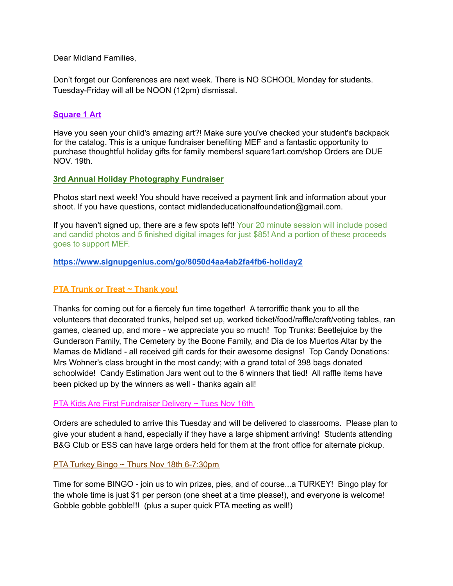Dear Midland Families,

Don't forget our Conferences are next week. There is NO SCHOOL Monday for students. Tuesday-Friday will all be NOON (12pm) dismissal.

### **Square 1 Art**

Have you seen your child's amazing art?! Make sure you've checked your student's backpack for the catalog. This is a unique fundraiser benefiting MEF and a fantastic opportunity to purchase thoughtful holiday gifts for family members! [square1art.com/shop](https://linkprotect.cudasvc.com/url?a=http%3a%2f%2fsquare1art.com%2fshop&c=E,1,hR4mQsUIfnrK_Ck2XV4eBcpoaFGkOryUz8lC6kLVW5fQR1pHwEt0Z5dQ6fnLllhkWNBmAq2Oq0lkysTHlUTp-HPPPF2Hw9SuiKnT2J9_xKKrV_QWPHh8&typo=0) Orders are DUE NOV. 19th.

### **3rd Annual Holiday Photography Fundraiser**

Photos start next week! You should have received a payment link and information about your shoot. If you have questions, contact midlandeducationalfoundation@gmail.com.

If you haven't signed up, there are a few spots left! Your 20 minute session will include posed and candid photos and 5 finished digital images for just \$85! And a portion of these proceeds goes to support MEF.

### **[https://www.signupgenius.com/go/8050d4aa4ab2fa4fb6-holiday2](https://www.signupgenius.com/go/8050d4aa4ab2fa4fb6-holiday2?fbclid=IwAR1YXZChNVOCounqCkopG0JvvoOeFW662HYLJKFoPzEcuxzLQWt8fxMWzMw)**

## **PTA Trunk or Treat ~ Thank you!**

Thanks for coming out for a fiercely fun time together! A terroriffic thank you to all the volunteers that decorated trunks, helped set up, worked ticket/food/raffle/craft/voting tables, ran games, cleaned up, and more - we appreciate you so much! Top Trunks: Beetlejuice by the Gunderson Family, The Cemetery by the Boone Family, and Dia de los Muertos Altar by the Mamas de Midland - all received gift cards for their awesome designs! Top Candy Donations: Mrs Wohner's class brought in the most candy; with a grand total of 398 bags donated schoolwide! Candy Estimation Jars went out to the 6 winners that tied! All raffle items have been picked up by the winners as well - thanks again all!

#### PTA Kids Are First Fundraiser Delivery ~ Tues Nov 16th

Orders are scheduled to arrive this Tuesday and will be delivered to classrooms. Please plan to give your student a hand, especially if they have a large shipment arriving! Students attending B&G Club or ESS can have large orders held for them at the front office for alternate pickup.

#### PTA Turkey Bingo ~ Thurs Nov 18th 6-7:30pm

Time for some BINGO - join us to win prizes, pies, and of course...a TURKEY! Bingo play for the whole time is just \$1 per person (one sheet at a time please!), and everyone is welcome! Gobble gobble gobble!!! (plus a super quick PTA meeting as well!)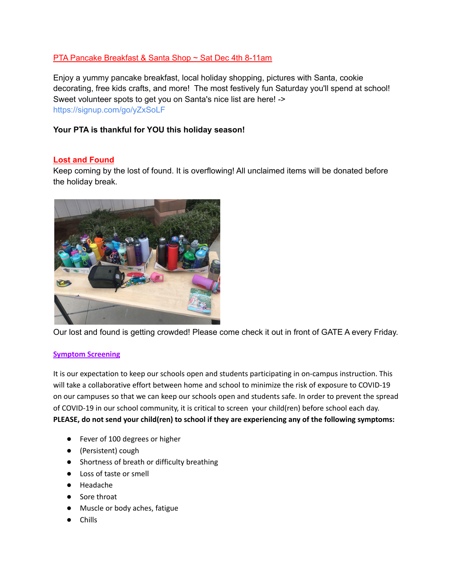# PTA Pancake Breakfast & Santa Shop ~ Sat Dec 4th 8-11am

Enjoy a yummy pancake breakfast, local holiday shopping, pictures with Santa, cookie decorating, free kids crafts, and more! The most festively fun Saturday you'll spend at school! Sweet volunteer spots to get you on Santa's nice list are here! -[>](https://linkprotect.cudasvc.com/url?a=https%3a%2f%2fsignup.com%2fgo%2fyZxSoLF&c=E,1,qs-g_sbI2eTwsGJ4w96vPegu1og01Te_cSQGMOMBxEkjqgVTNR1kSmuVX2mj9BZjFxo1E-oHjTT367rWmFBbW0lw2GUiKlvwX2ofMI35&typo=0) [https://signup.com/go/yZxSoLF](https://linkprotect.cudasvc.com/url?a=https%3a%2f%2fsignup.com%2fgo%2fyZxSoLF&c=E,1,qs-g_sbI2eTwsGJ4w96vPegu1og01Te_cSQGMOMBxEkjqgVTNR1kSmuVX2mj9BZjFxo1E-oHjTT367rWmFBbW0lw2GUiKlvwX2ofMI35&typo=0)

## **Your PTA is thankful for YOU this holiday season!**

## **Lost and Found**

Keep coming by the lost of found. It is overflowing! All unclaimed items will be donated before the holiday break.



Our lost and found is getting crowded! Please come check it out in front of GATE A every Friday.

#### **Symptom Screening**

It is our expectation to keep our schools open and students participating in on-campus instruction. This will take a collaborative effort between home and school to minimize the risk of exposure to COVID-19 on our campuses so that we can keep our schools open and students safe. In order to prevent the spread of COVID-19 in our school community, it is critical to screen your child(ren) before school each day. **PLEASE, do not send your child(ren) to school if they are experiencing any of the following symptoms:**

- Fever of 100 degrees or higher
- (Persistent) cough
- Shortness of breath or difficulty breathing
- Loss of taste or smell
- Headache
- Sore throat
- Muscle or body aches, fatigue
- Chills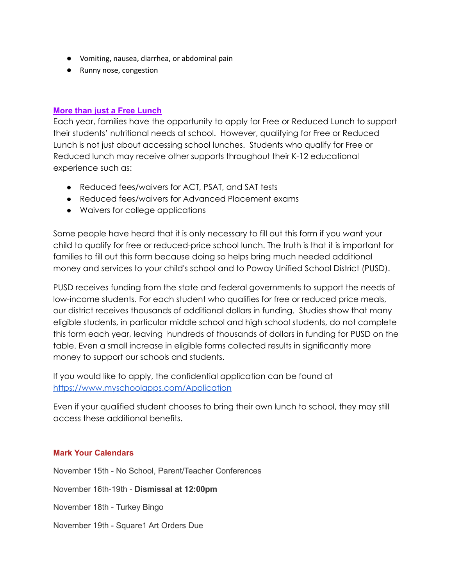- Vomiting, nausea, diarrhea, or abdominal pain
- Runny nose, congestion

## **More than just a Free Lunch**

Each year, families have the opportunity to apply for Free or Reduced Lunch to support their students' nutritional needs at school. However, qualifying for Free or Reduced Lunch is not just about accessing school lunches. Students who qualify for Free or Reduced lunch may receive other supports throughout their K-12 educational experience such as:

- Reduced fees/waivers for ACT, PSAT, and SAT tests
- Reduced fees/waivers for Advanced Placement exams
- Waivers for college applications

Some people have heard that it is only necessary to fill out this form if you want your child to qualify for free or reduced-price school lunch. The truth is that it is important for families to fill out this form because doing so helps bring much needed additional money and services to your child's school and to Poway Unified School District (PUSD).

PUSD receives funding from the state and federal governments to support the needs of low-income students. For each student who qualifies for free or reduced price meals, our district receives thousands of additional dollars in funding. Studies show that many eligible students, in particular middle school and high school students, do not complete this form each year, leaving hundreds of thousands of dollars in funding for PUSD on the table. Even a small increase in eligible forms collected results in significantly more money to support our schools and students.

If you would like to apply, the confidential application can be found at <https://www.myschoolapps.com/Application>

Even if your qualified student chooses to bring their own lunch to school, they may still access these additional benefits.

# **Mark Your Calendars**

November 15th - No School, Parent/Teacher Conferences November 16th-19th - **Dismissal at 12:00pm** November 18th - Turkey Bingo November 19th - Square1 Art Orders Due